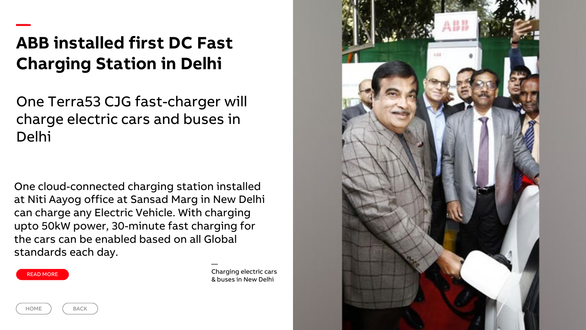## **ABB installed first DC Fast Charging Station in Delhi**

One Terra53 CJG fast-charger will charge electric cars and buses in Delhi

One cloud-connected charging station installed at Niti Aayog office at Sansad Marg in New Delhi can charge any Electric Vehicle. With charging upto 50kW power, 30-minute fast charging for the cars can be enabled based on all Global standards each day.



—

Charging electric cars & buses in New Delhi

—



HOME ) (BACK